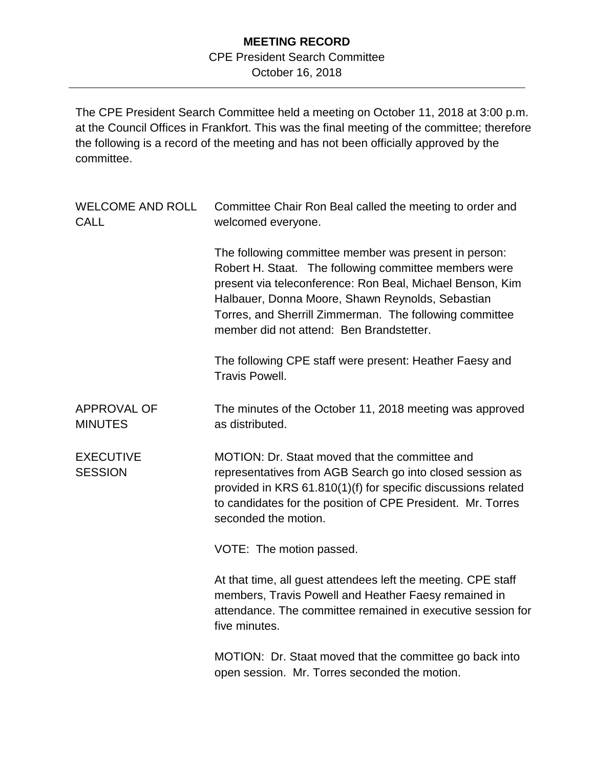## **MEETING RECORD**

## CPE President Search Committee

October 16, 2018

The CPE President Search Committee held a meeting on October 11, 2018 at 3:00 p.m. at the Council Offices in Frankfort. This was the final meeting of the committee; therefore the following is a record of the meeting and has not been officially approved by the committee.

| <b>WELCOME AND ROLL</b><br><b>CALL</b> | Committee Chair Ron Beal called the meeting to order and<br>welcomed everyone.                                                                                                                                                                                                                                                         |
|----------------------------------------|----------------------------------------------------------------------------------------------------------------------------------------------------------------------------------------------------------------------------------------------------------------------------------------------------------------------------------------|
|                                        | The following committee member was present in person:<br>Robert H. Staat. The following committee members were<br>present via teleconference: Ron Beal, Michael Benson, Kim<br>Halbauer, Donna Moore, Shawn Reynolds, Sebastian<br>Torres, and Sherrill Zimmerman. The following committee<br>member did not attend: Ben Brandstetter. |
|                                        | The following CPE staff were present: Heather Faesy and<br><b>Travis Powell.</b>                                                                                                                                                                                                                                                       |
| <b>APPROVAL OF</b><br><b>MINUTES</b>   | The minutes of the October 11, 2018 meeting was approved<br>as distributed.                                                                                                                                                                                                                                                            |
| <b>EXECUTIVE</b><br><b>SESSION</b>     | MOTION: Dr. Staat moved that the committee and<br>representatives from AGB Search go into closed session as<br>provided in KRS 61.810(1)(f) for specific discussions related<br>to candidates for the position of CPE President. Mr. Torres<br>seconded the motion.                                                                    |
|                                        | VOTE: The motion passed.                                                                                                                                                                                                                                                                                                               |
|                                        | At that time, all guest attendees left the meeting. CPE staff<br>members, Travis Powell and Heather Faesy remained in<br>attendance. The committee remained in executive session for<br>five minutes.                                                                                                                                  |
|                                        | MOTION: Dr. Staat moved that the committee go back into<br>open session. Mr. Torres seconded the motion.                                                                                                                                                                                                                               |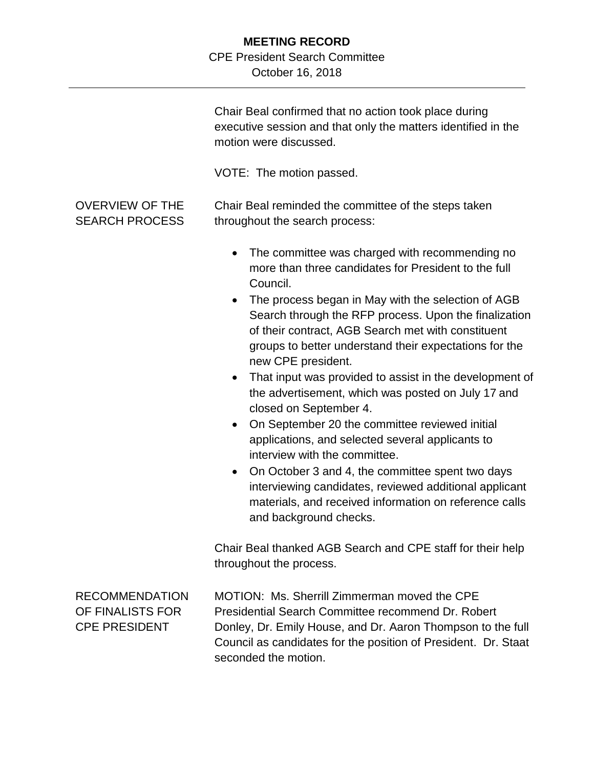## **MEETING RECORD**

## CPE President Search Committee

October 16, 2018

|                                                                   | Chair Beal confirmed that no action took place during<br>executive session and that only the matters identified in the<br>motion were discussed.<br>VOTE: The motion passed.                                                                                                                                                                                                                                                                                                                                                                                                                                                                                                                                                                                                                                                                                                                       |
|-------------------------------------------------------------------|----------------------------------------------------------------------------------------------------------------------------------------------------------------------------------------------------------------------------------------------------------------------------------------------------------------------------------------------------------------------------------------------------------------------------------------------------------------------------------------------------------------------------------------------------------------------------------------------------------------------------------------------------------------------------------------------------------------------------------------------------------------------------------------------------------------------------------------------------------------------------------------------------|
| <b>OVERVIEW OF THE</b><br><b>SEARCH PROCESS</b>                   | Chair Beal reminded the committee of the steps taken<br>throughout the search process:                                                                                                                                                                                                                                                                                                                                                                                                                                                                                                                                                                                                                                                                                                                                                                                                             |
|                                                                   | The committee was charged with recommending no<br>more than three candidates for President to the full<br>Council.<br>The process began in May with the selection of AGB<br>Search through the RFP process. Upon the finalization<br>of their contract, AGB Search met with constituent<br>groups to better understand their expectations for the<br>new CPE president.<br>That input was provided to assist in the development of<br>$\bullet$<br>the advertisement, which was posted on July 17 and<br>closed on September 4.<br>On September 20 the committee reviewed initial<br>$\bullet$<br>applications, and selected several applicants to<br>interview with the committee.<br>On October 3 and 4, the committee spent two days<br>$\bullet$<br>interviewing candidates, reviewed additional applicant<br>materials, and received information on reference calls<br>and background checks. |
|                                                                   | Chair Beal thanked AGB Search and CPE staff for their help<br>throughout the process.                                                                                                                                                                                                                                                                                                                                                                                                                                                                                                                                                                                                                                                                                                                                                                                                              |
| <b>RECOMMENDATION</b><br>OF FINALISTS FOR<br><b>CPE PRESIDENT</b> | MOTION: Ms. Sherrill Zimmerman moved the CPE<br>Presidential Search Committee recommend Dr. Robert<br>Donley, Dr. Emily House, and Dr. Aaron Thompson to the full<br>Council as candidates for the position of President. Dr. Staat<br>seconded the motion.                                                                                                                                                                                                                                                                                                                                                                                                                                                                                                                                                                                                                                        |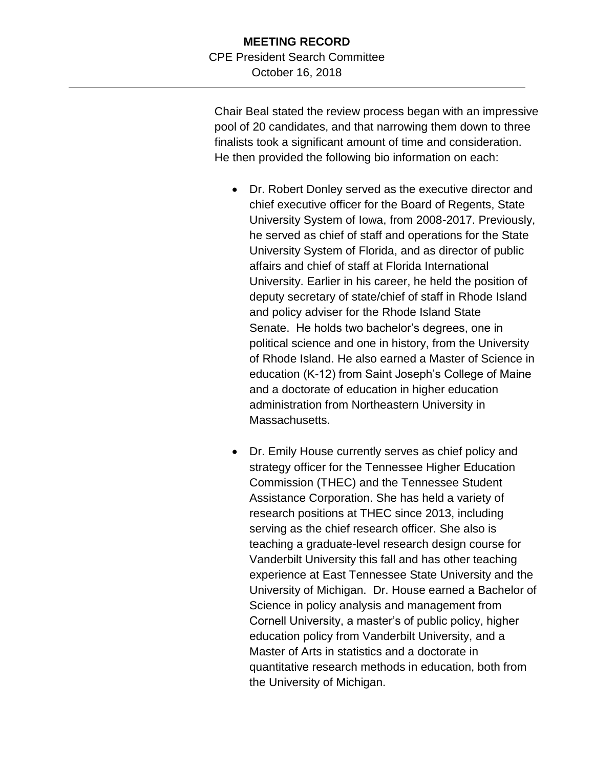Chair Beal stated the review process began with an impressive pool of 20 candidates, and that narrowing them down to three finalists took a significant amount of time and consideration. He then provided the following bio information on each:

- Dr. Robert Donley served as the executive director and chief executive officer for the Board of Regents, State University System of Iowa, from 2008-2017. Previously, he served as chief of staff and operations for the State University System of Florida, and as director of public affairs and chief of staff at Florida International University. Earlier in his career, he held the position of deputy secretary of state/chief of staff in Rhode Island and policy adviser for the Rhode Island State Senate. He holds two bachelor's degrees, one in political science and one in history, from the University of Rhode Island. He also earned a Master of Science in education (K-12) from Saint Joseph's College of Maine and a doctorate of education in higher education administration from Northeastern University in Massachusetts.
- Dr. Emily House currently serves as chief policy and strategy officer for the Tennessee Higher Education Commission (THEC) and the Tennessee Student Assistance Corporation. She has held a variety of research positions at THEC since 2013, including serving as the chief research officer. She also is teaching a graduate-level research design course for Vanderbilt University this fall and has other teaching experience at East Tennessee State University and the University of Michigan. Dr. House earned a Bachelor of Science in policy analysis and management from Cornell University, a master's of public policy, higher education policy from Vanderbilt University, and a Master of Arts in statistics and a doctorate in quantitative research methods in education, both from the University of Michigan.